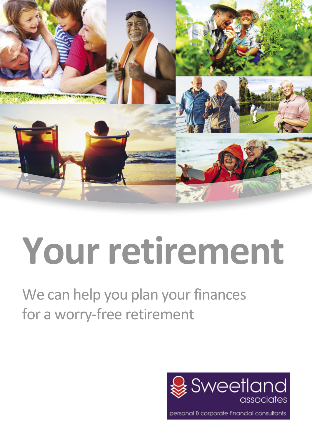

# **Your retirement**

We can help you plan your finances for a worry-free retirement

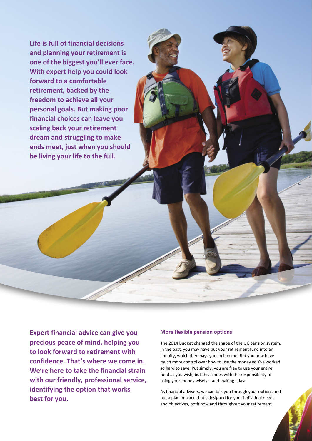**Life is full of financial decisions and planning your retirement is one of the biggest you'll ever face. With expert help you could look forward to a comfortable retirement, backed by the freedom to achieve all your personal goals. But making poor financial choices can leave you scaling back your retirement dream and struggling to make ends meet, just when you should be living your life to the full.**

**Expert financial advice can give you precious peace of mind, helping you to look forward to retirement with confidence. That's where we come in. We're here to take the financial strain with our friendly, professional service, identifying the option that works best for you.**

# **More flexible pension options**

The 2014 Budget changed the shape of the UK pension system. In the past, you may have put your retirement fund into an annuity, which then pays you an income. But you now have much more control over how to use the money you've worked so hard to save. Put simply, you are free to use your entire fund as you wish, but this comes with the responsibility of using your money wisely – and making it last.

As financial advisers, we can talk you through your options and put a plan in place that's designed for your individual needs and objectives, both now and throughout your retirement.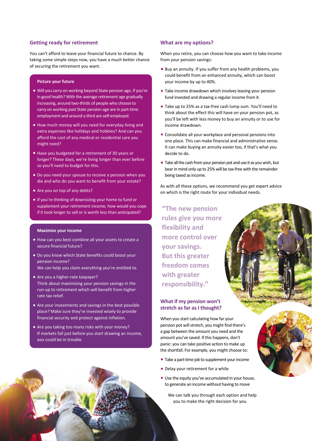### **Getting ready for retirement**

You can't afford to leave your financial future to chance. By taking some simple steps now, you have a much better chance of securing the retirement you want.

#### **Picture your future**

- Will you carry on working beyond State pension age, if you're in good health? With the average retirement age gradually increasing, around two-thirds of people who choose to carry on working past State pension age are in part-time employment and around a third are self-employed.
- How much money will you need for everyday living and extra expenses like holidays and hobbies? And can you afford the cost of any medical or residential care you might need?
- Have you budgeted for a retirement of 30 years or longer? These days, we're living longer than ever before so you'll need to budget for this.
- Do you need your spouse to receive a pension when you die and who do you want to benefit from your estate?
- Are you on top of any debts?
- If you're thinking of downsizing your home to fund or supplement your retirement income, how would you cope if it took longer to sell or is worth less than anticipated?

#### **Maximise your income**

- How can you best combine all your assets to create a secure financial future?
- Do you know which State benefits could boost your pension income? We can help you claim everything you're entitled to.
- Are you a higher-rate taxpayer? Think about maximising your pension savings in the run-up to retirement which will benefit from higher rate tax relief.
- Are your investments and savings in the best possible place? Make sure they're invested wisely to provide financial security and protect against inflation.
- Are you taking too many risks with your money? If markets fall just before you start drawing an income, you could be in trouble.

#### **What are my options?**

When you retire, you can choose how you want to take income from your pension savings:

- Buy an annuity. If you suffer from any health problems, you could benefit from an enhanced annuity, which can boost your income by up to 40%.
- Take income drawdown which involves leaving your pension fund invested and drawing a regular income from it.
- Take up to 25% as a tax-free cash lump sum. You'll need to think about the effect this will have on your pension pot, as you'll be left with less money to buy an annuity or to use for income drawdown.
- Consolidate all your workplace and personal pensions into one place. This can make financial and administrative sense. It can make buying an annuity easier too, if that's what you decide to do.
- Take all the cash from your pension pot and use it as you wish, but bear in mind only up to 25% will be tax-free with the remainder being taxed as income.

As with all these options, we recommend you get expert advice on which is the right route for your individual needs.

**"The new pension rules give you more flexibility and more control over your savings. But this greater freedom comes with greater responsibility."**

#### **What if my pension won't stretch as far as I thought?**

When you start calculating how far your pension pot will stretch, you might find there's a gap between the amount you need and the amount you've saved. If this happens, don't panic: you can take positive action to make up the shortfall. For example, you might choose to:

- Take a part-time job to supplement your income
- Delay your retirement for a while
- Use the equity you've accumulated in your house, to generate an income without having to move
	- We can talk you through each option and help you to make the right decision for you.